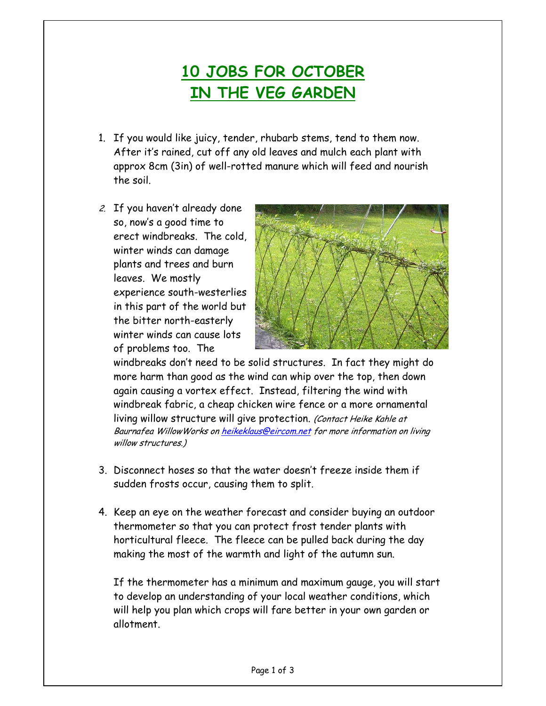## **10 JOBS FOR OCTOBER IN THE VEG GARDEN**

- 1. If you would like juicy, tender, rhubarb stems, tend to them now. After it's rained, cut off any old leaves and mulch each plant with approx 8cm (3in) of well-rotted manure which will feed and nourish the soil.
- 2. If you haven't already done so, now's a good time to erect windbreaks. The cold, winter winds can damage plants and trees and burn leaves. We mostly experience south-westerlies in this part of the world but the bitter north-easterly winter winds can cause lots of problems too. The



windbreaks don't need to be solid structures. In fact they might do more harm than good as the wind can whip over the top, then down again causing a vortex effect. Instead, filtering the wind with windbreak fabric, a cheap chicken wire fence or a more ornamental living willow structure will give protection. (Contact Heike Kahle at Baurnafea WillowWorks on heikeklaus@eircom.net for more information on living willow structures.)

- 3. Disconnect hoses so that the water doesn't freeze inside them if sudden frosts occur, causing them to split.
- 4. Keep an eye on the weather forecast and consider buying an outdoor thermometer so that you can protect frost tender plants with horticultural fleece. The fleece can be pulled back during the day making the most of the warmth and light of the autumn sun.

If the thermometer has a minimum and maximum gauge, you will start to develop an understanding of your local weather conditions, which will help you plan which crops will fare better in your own garden or allotment.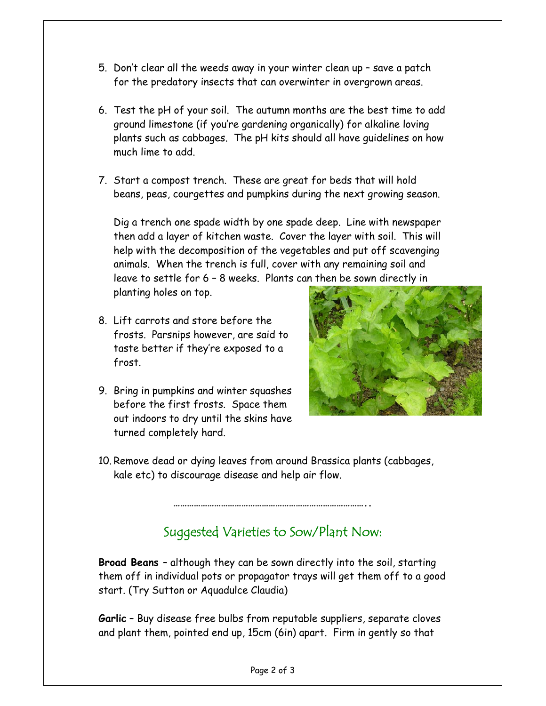- 5. Don't clear all the weeds away in your winter clean up save a patch for the predatory insects that can overwinter in overgrown areas.
- 6. Test the pH of your soil. The autumn months are the best time to add ground limestone (if you're gardening organically) for alkaline loving plants such as cabbages. The pH kits should all have guidelines on how much lime to add.
- 7. Start a compost trench. These are great for beds that will hold beans, peas, courgettes and pumpkins during the next growing season.

Dig a trench one spade width by one spade deep. Line with newspaper then add a layer of kitchen waste. Cover the layer with soil. This will help with the decomposition of the vegetables and put off scavenging animals. When the trench is full, cover with any remaining soil and leave to settle for 6 – 8 weeks. Plants can then be sown directly in planting holes on top.

- 8. Lift carrots and store before the frosts. Parsnips however, are said to taste better if they're exposed to a frost.
- 9. Bring in pumpkins and winter squashes before the first frosts. Space them out indoors to dry until the skins have turned completely hard.



10. Remove dead or dying leaves from around Brassica plants (cabbages, kale etc) to discourage disease and help air flow.

## Suggested Varieties to Sow/Plant Now:

**…………………………………………………………………………..** 

**Broad Beans** – although they can be sown directly into the soil, starting them off in individual pots or propagator trays will get them off to a good start. (Try Sutton or Aquadulce Claudia)

**Garlic** – Buy disease free bulbs from reputable suppliers, separate cloves and plant them, pointed end up, 15cm (6in) apart. Firm in gently so that